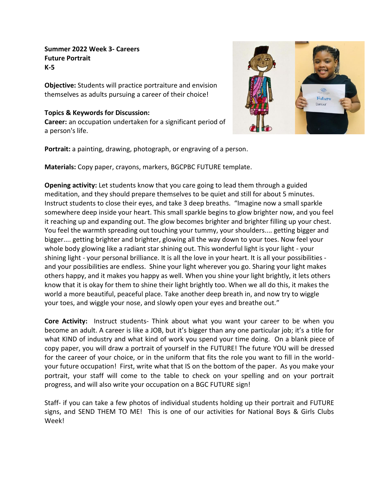## **Summer 2022 Week 3- Careers Future Portrait K-5**

**Objective:** Students will practice portraiture and envision themselves as adults pursuing a career of their choice!

## **Topics & Keywords for Discussion:**

**Career:** an occupation undertaken for a significant period of a person's life.



**Portrait:** a painting, drawing, photograph, or engraving of a person.

**Materials:** Copy paper, crayons, markers, BGCPBC FUTURE template.

**Opening activity:** Let students know that you care going to lead them through a guided meditation, and they should prepare themselves to be quiet and still for about 5 minutes. Instruct students to close their eyes, and take 3 deep breaths."Imagine now a small sparkle somewhere deep inside your heart. This small sparkle begins to glow brighter now, and you feel it reaching up and expanding out. The glow becomes brighter and brighter filling up your chest. You feel the warmth spreading out touching your tummy, your shoulders.... getting bigger and bigger.... getting brighter and brighter, glowing all the way down to your toes. Now feel your whole body glowing like a radiant star shining out. This wonderful light is your light - your shining light - your personal brilliance. It is all the love in your heart. It is all your possibilities and your possibilities are endless. Shine your light wherever you go. Sharing your light makes others happy, and it makes you happy as well. When you shine your light brightly, it lets others know that it is okay for them to shine their light brightly too. When we all do this, it makes the world a more beautiful, peaceful place. Take another deep breath in, and now try to wiggle your toes, and wiggle your nose, and slowly open your eyes and breathe out."

**Core Activity:** Instruct students- Think about what you want your career to be when you become an adult. A career is like a JOB, but it's bigger than any one particular job; it's a title for what KIND of industry and what kind of work you spend your time doing. On a blank piece of copy paper, you will draw a portrait of yourself in the FUTURE! The future YOU will be dressed for the career of your choice, or in the uniform that fits the role you want to fill in the worldyour future occupation! First, write what that IS on the bottom of the paper. As you make your portrait, your staff will come to the table to check on your spelling and on your portrait progress, and will also write your occupation on a BGC FUTURE sign!

Staff- if you can take a few photos of individual students holding up their portrait and FUTURE signs, and SEND THEM TO ME! This is one of our activities for National Boys & Girls Clubs Week!